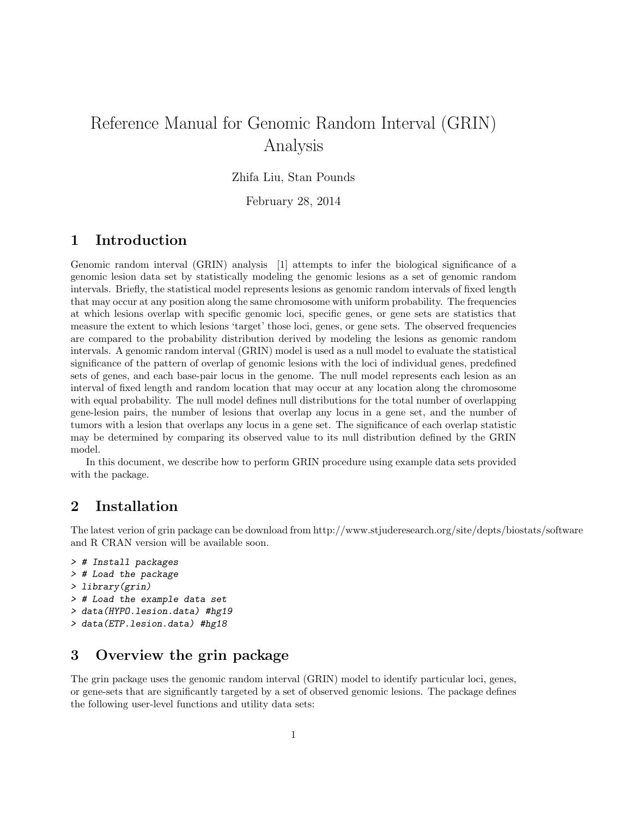# Reference Manual for Genomic Random Interval (GRIN) Analysis

Zhifa Liu, Stan Pounds

February 28, 2014

### 1 Introduction

Genomic random interval (GRIN) analysis [1] attempts to infer the biological significance of a genomic lesion data set by statistically modeling the genomic lesions as a set of genomic random intervals. Briefly, the statistical model represents lesions as genomic random intervals of fixed length that may occur at any position along the same chromosome with uniform probability. The frequencies at which lesions overlap with specific genomic loci, specific genes, or gene sets are statistics that measure the extent to which lesions 'target' those loci, genes, or gene sets. The observed frequencies are compared to the probability distribution derived by modeling the lesions as genomic random intervals. A genomic random interval (GRIN) model is used as a null model to evaluate the statistical significance of the pattern of overlap of genomic lesions with the loci of individual genes, predefined sets of genes, and each base-pair locus in the genome. The null model represents each lesion as an interval of fixed length and random location that may occur at any location along the chromosome with equal probability. The null model defines null distributions for the total number of overlapping gene-lesion pairs, the number of lesions that overlap any locus in a gene set, and the number of tumors with a lesion that overlaps any locus in a gene set. The significance of each overlap statistic may be determined by comparing its observed value to its null distribution defined by the GRIN model.

In this document, we describe how to perform GRIN procedure using example data sets provided with the package.

# 2 Installation

The latest verion of grin package can be download from http://www.stjuderesearch.org/site/depts/biostats/software and R CRAN version will be available soon.

```
> # Install packages
> # Load the package
> library(grin)
> # Load the example data set
> data(HYPO.lesion.data) #hg19
> data(ETP.lesion.data) #hg18
```
# 3 Overview the grin package

The grin package uses the genomic random interval (GRIN) model to identify particular loci, genes, or gene-sets that are significantly targeted by a set of observed genomic lesions. The package defines the following user-level functions and utility data sets: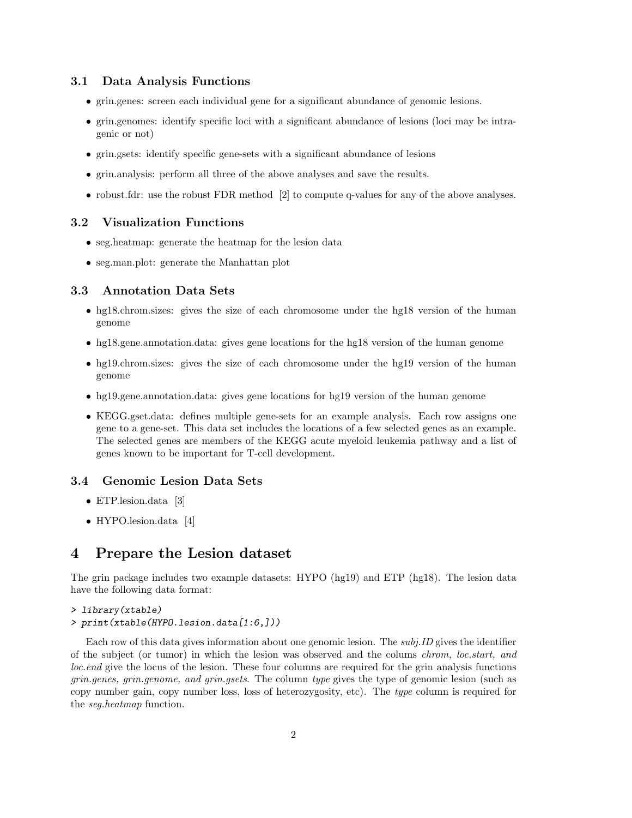### 3.1 Data Analysis Functions

- grin.genes: screen each individual gene for a significant abundance of genomic lesions.
- grin.genomes: identify specific loci with a significant abundance of lesions (loci may be intragenic or not)
- grin.gsets: identify specific gene-sets with a significant abundance of lesions
- grin.analysis: perform all three of the above analyses and save the results.
- robust.fdr: use the robust FDR method [2] to compute q-values for any of the above analyses.

### 3.2 Visualization Functions

- seg.heatmap: generate the heatmap for the lesion data
- seg.man.plot: generate the Manhattan plot

### 3.3 Annotation Data Sets

- hg18.chrom.sizes: gives the size of each chromosome under the hg18 version of the human genome
- hg18.gene.annotation.data: gives gene locations for the hg18 version of the human genome
- hg19.chrom.sizes: gives the size of each chromosome under the hg19 version of the human genome
- hg19.gene.annotation.data: gives gene locations for hg19 version of the human genome
- KEGG.gset.data: defines multiple gene-sets for an example analysis. Each row assigns one gene to a gene-set. This data set includes the locations of a few selected genes as an example. The selected genes are members of the KEGG acute myeloid leukemia pathway and a list of genes known to be important for T-cell development.

### 3.4 Genomic Lesion Data Sets

- ETP.lesion.data [3]
- HYPO.lesion.data [4]

### 4 Prepare the Lesion dataset

The grin package includes two example datasets: HYPO (hg19) and ETP (hg18). The lesion data have the following data format:

#### > library(xtable)

> print(xtable(HYPO.lesion.data[1:6,]))

Each row of this data gives information about one genomic lesion. The  $subi.ID$  gives the identifier of the subject (or tumor) in which the lesion was observed and the colums chrom, loc.start, and loc.end give the locus of the lesion. These four columns are required for the grin analysis functions grin.genes, grin.genome, and grin.gsets. The column type gives the type of genomic lesion (such as copy number gain, copy number loss, loss of heterozygosity, etc). The type column is required for the seg.heatmap function.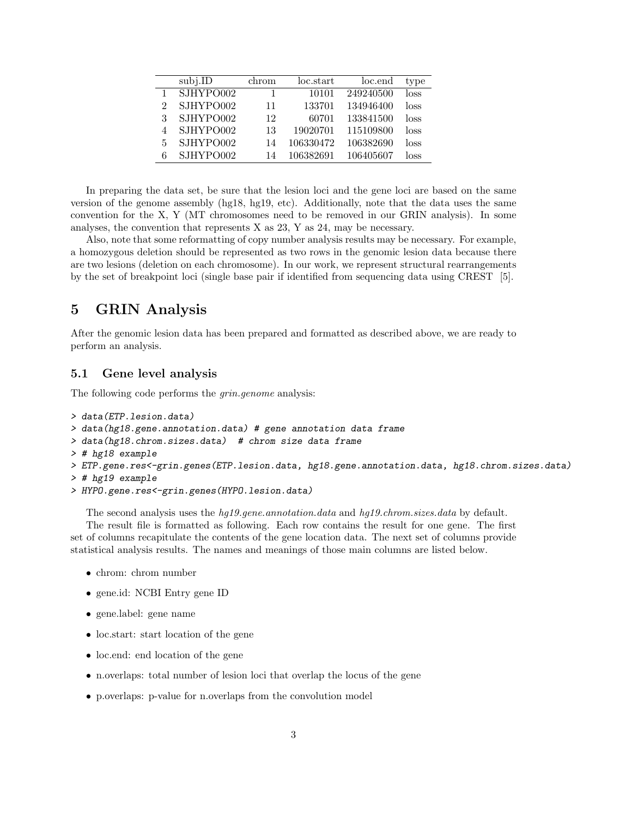|   | subj.ID   | chrom | loc.start | loc.end   | type |
|---|-----------|-------|-----------|-----------|------|
|   | SJHYPO002 |       | 10101     | 249240500 | loss |
| 2 | SJHYPO002 | 11    | 133701    | 134946400 | loss |
| 3 | SJHYPO002 | 12    | 60701     | 133841500 | loss |
| 4 | SJHYPO002 | 13    | 19020701  | 115109800 | loss |
| 5 | SJHYPO002 | 14    | 106330472 | 106382690 | loss |
| 6 | SJHYPO002 | 14    | 106382691 | 106405607 | loss |

In preparing the data set, be sure that the lesion loci and the gene loci are based on the same version of the genome assembly (hg18, hg19, etc). Additionally, note that the data uses the same convention for the X, Y (MT chromosomes need to be removed in our GRIN analysis). In some analyses, the convention that represents X as 23, Y as 24, may be necessary.

Also, note that some reformatting of copy number analysis results may be necessary. For example, a homozygous deletion should be represented as two rows in the genomic lesion data because there are two lesions (deletion on each chromosome). In our work, we represent structural rearrangements by the set of breakpoint loci (single base pair if identified from sequencing data using CREST [5].

# 5 GRIN Analysis

After the genomic lesion data has been prepared and formatted as described above, we are ready to perform an analysis.

### 5.1 Gene level analysis

The following code performs the *grin.genome* analysis:

```
> data(ETP.lesion.data)
> data(hg18.gene.annotation.data) # gene annotation data frame
> data(hg18.chrom.sizes.data) # chrom size data frame
> # hg18 example
> ETP.gene.res<-grin.genes(ETP.lesion.data, hg18.gene.annotation.data, hg18.chrom.sizes.data)
> # hg19 example
> HYPO.gene.res<-grin.genes(HYPO.lesion.data)
```
The second analysis uses the hg19.gene.annotation.data and hg19.chrom.sizes.data by default.

The result file is formatted as following. Each row contains the result for one gene. The first set of columns recapitulate the contents of the gene location data. The next set of columns provide statistical analysis results. The names and meanings of those main columns are listed below.

- chrom: chrom number
- gene.id: NCBI Entry gene ID
- gene.label: gene name
- loc.start: start location of the gene
- loc.end: end location of the gene
- n.overlaps: total number of lesion loci that overlap the locus of the gene
- p.overlaps: p-value for n.overlaps from the convolution model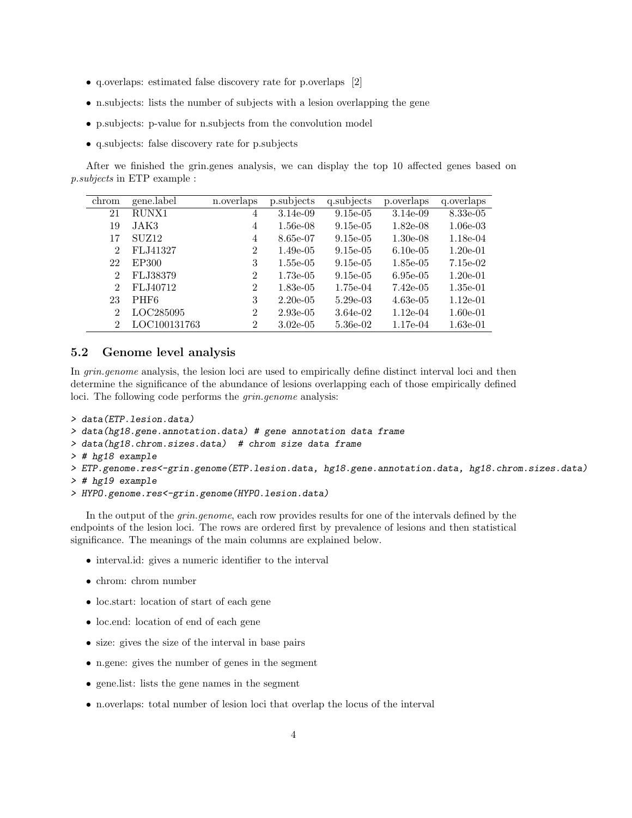- q.overlaps: estimated false discovery rate for p.overlaps [2]
- n.subjects: lists the number of subjects with a lesion overlapping the gene
- p.subjects: p-value for n.subjects from the convolution model
- q.subjects: false discovery rate for p.subjects

After we finished the grin.genes analysis, we can display the top 10 affected genes based on p.subjects in ETP example :

| chrom          | gene.label        | n.overlaps     | p.subjects  | q.subjects  | p.overlaps  | q.overlaps |
|----------------|-------------------|----------------|-------------|-------------|-------------|------------|
| 21             | RUNX1             | 4              | $3.14e-0.9$ | $9.15e-0.5$ | $3.14e-0.9$ | 8.33e-05   |
| 19             | JAK3              | 4              | $1.56e-08$  | $9.15e-0.5$ | $1.82e-08$  | $1.06e-03$ |
| 17             | SUZ <sub>12</sub> | 4              | 8.65e-07    | $9.15e-0.5$ | $1.30e-0.8$ | $1.18e-04$ |
| 2              | FLJ41327          | $\overline{2}$ | $1.49e-0.5$ | $9.15e-0.5$ | $6.10e-0.5$ | $1.20e-01$ |
| 22             | EP300             | 3              | $1.55e-0.5$ | $9.15e-0.5$ | $1.85e-0.5$ | $7.15e-02$ |
| $\mathcal{D}$  | FLJ38379          | $\overline{2}$ | $1.73e-0.5$ | $9.15e-0.5$ | $6.95e-05$  | $1.20e-01$ |
| $\mathfrak{D}$ | FLJ40712          | $\overline{2}$ | $1.83 - 05$ | 1.75e-04    | $7.42e-0.5$ | $1.35e-01$ |
| 23             | PHF <sub>6</sub>  | 3              | $2.20e-0.5$ | $5.29e-03$  | $4.63e-05$  | $1.12e-01$ |
| $\mathcal{D}$  | LOC285095         | $\overline{2}$ | $2.93e-0.5$ | 3.64e-02    | $1.12e-04$  | $1.60e-01$ |
| $\mathfrak{D}$ | LOC100131763      | $\overline{2}$ | $3.02e-0.5$ | 5.36e-02    | 1.17e-04    | $1.63e-01$ |

### 5.2 Genome level analysis

In *grin.genome* analysis, the lesion loci are used to empirically define distinct interval loci and then determine the significance of the abundance of lesions overlapping each of those empirically defined loci. The following code performs the grin.genome analysis:

```
> data(ETP.lesion.data)
```
- > data(hg18.gene.annotation.data) # gene annotation data frame
- > data(hg18.chrom.sizes.data) # chrom size data frame
- > # hg18 example
- > ETP.genome.res<-grin.genome(ETP.lesion.data, hg18.gene.annotation.data, hg18.chrom.sizes.data)
- > # hg19 example
- > HYPO.genome.res<-grin.genome(HYPO.lesion.data)

In the output of the *grin.genome*, each row provides results for one of the intervals defined by the endpoints of the lesion loci. The rows are ordered first by prevalence of lesions and then statistical significance. The meanings of the main columns are explained below.

- interval.id: gives a numeric identifier to the interval
- chrom: chrom number
- loc.start: location of start of each gene
- loc.end: location of end of each gene
- size: gives the size of the interval in base pairs
- n.gene: gives the number of genes in the segment
- gene.list: lists the gene names in the segment
- n.overlaps: total number of lesion loci that overlap the locus of the interval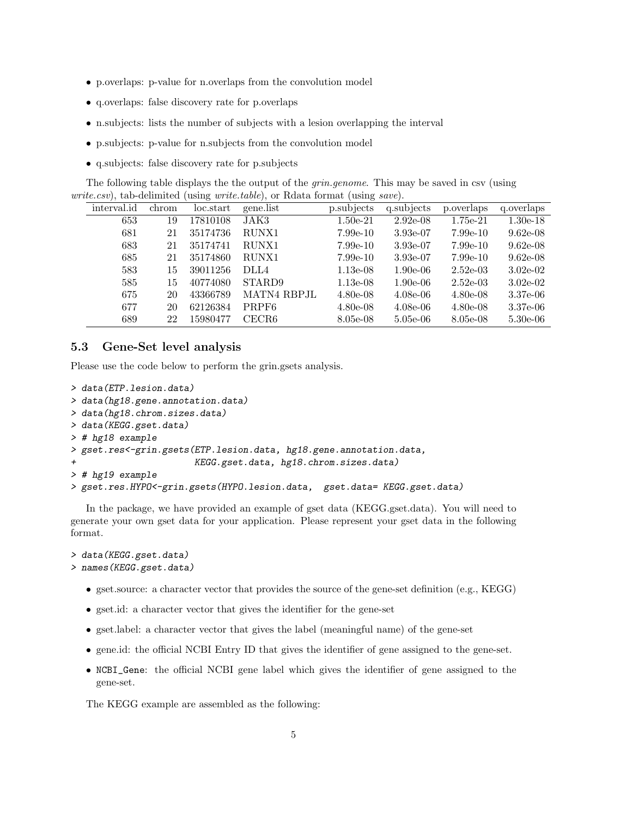- p.overlaps: p-value for n.overlaps from the convolution model
- q.overlaps: false discovery rate for p.overlaps
- n.subjects: lists the number of subjects with a lesion overlapping the interval
- p.subjects: p-value for n.subjects from the convolution model
- q.subjects: false discovery rate for p.subjects

The following table displays the the output of the *grin.genome*. This may be saved in csv (using *write.csv*), tab-delimited (using *write.table*), or Rdata format (using *save*).

| interval.id | chrom | loc.start | gene.list         | p.subjects | q.subjects | p.overlaps | q.overlaps |
|-------------|-------|-----------|-------------------|------------|------------|------------|------------|
| 653         | 19    | 17810108  | JAK3              | $1.50e-21$ | $2.92e-08$ | 1.75e-21   | $1.30e-18$ |
| 681         | 21    | 35174736  | RUNX1             | $7.99e-10$ | $3.93e-07$ | $7.99e-10$ | $9.62e-08$ |
| 683         | 21    | 35174741  | RUNX1             | $7.99e-10$ | 3.93e-07   | $7.99e-10$ | $9.62e-08$ |
| 685         | 21    | 35174860  | RUNX1             | $7.99e-10$ | $3.93e-07$ | $7.99e-10$ | $9.62e-08$ |
| 583         | 15    | 39011256  | DLL4              | $1.13e-08$ | $1.90e-06$ | $2.52e-03$ | $3.02e-02$ |
| 585         | 15    | 40774080  | STARD9            | $1.13e-08$ | $1.90e-06$ | $2.52e-03$ | $3.02e-02$ |
| 675         | 20    | 43366789  | MATN4 RBPJL       | $4.80e-08$ | $4.08e-06$ | $4.80e-08$ | 3.37e-06   |
| 677         | 20    | 62126384  | PRPF <sub>6</sub> | $4.80e-08$ | $4.08e-06$ | $4.80e-08$ | 3.37e-06   |
| 689         | 22    | 15980477  | CECR6             | 8.05e-08   | $5.05e-06$ | 8.05e-08   | $5.30e-06$ |

### 5.3 Gene-Set level analysis

Please use the code below to perform the grin.gsets analysis.

```
> data(ETP.lesion.data)
> data(hg18.gene.annotation.data)
> data(hg18.chrom.sizes.data)
> data(KEGG.gset.data)
> # hg18 example
> gset.res<-grin.gsets(ETP.lesion.data, hg18.gene.annotation.data,
                       KEGG.gset.data, hg18.chrom.sizes.data)
> # hg19 example
> gset.res.HYPO<-grin.gsets(HYPO.lesion.data, gset.data= KEGG.gset.data)
```
In the package, we have provided an example of gset data (KEGG.gset.data). You will need to generate your own gset data for your application. Please represent your gset data in the following format.

```
> data(KEGG.gset.data)
> names(KEGG.gset.data)
```
- gset.source: a character vector that provides the source of the gene-set definition (e.g., KEGG)
- gset.id: a character vector that gives the identifier for the gene-set
- gset.label: a character vector that gives the label (meaningful name) of the gene-set
- gene.id: the official NCBI Entry ID that gives the identifier of gene assigned to the gene-set.
- NCBI\_Gene: the official NCBI gene label which gives the identifier of gene assigned to the gene-set.

The KEGG example are assembled as the following: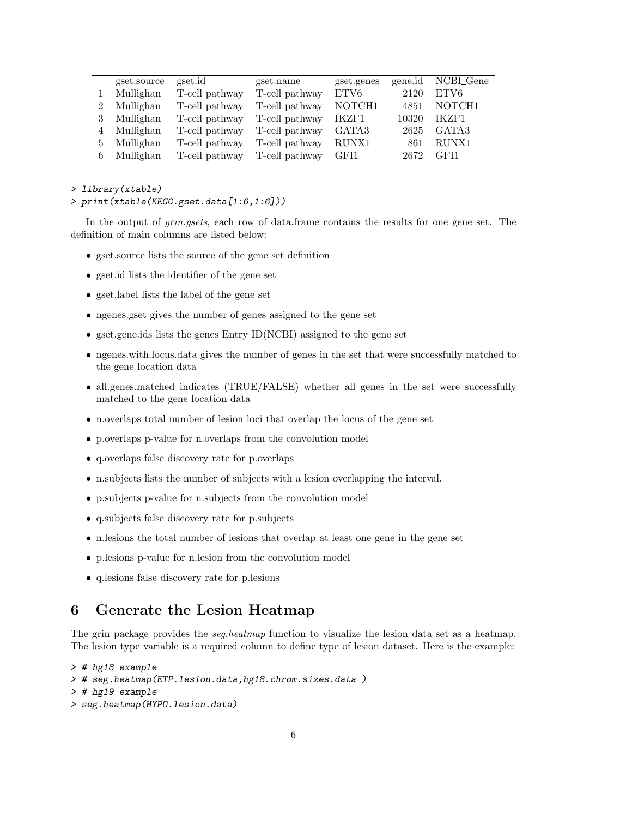| gset.source | gset.id        | gset.name      | gset.genes | gene.id | NCBL_Gene |
|-------------|----------------|----------------|------------|---------|-----------|
| Mullighan   | T-cell pathway | T-cell pathway | ETV6       | 2120    | ETV6      |
| Mullighan   | T-cell pathway | T-cell pathway | NOTCH1     | 4851    | NOTCH1    |
| Mullighan   | T-cell pathway | T-cell pathway | IKZF1      | 10320   | IKZF1     |
| Mullighan   | T-cell pathway | T-cell pathway | GATA3      | 2625    | GATA3     |
| Mullighan   | T-cell pathway | T-cell pathway | RUNX1      | 861     | RUNX1     |
| Mullighan   | T-cell pathway | T-cell pathway | GFI1       | 2672    | GFI1      |

> library(xtable)

```
> print(xtable(KEGG.gset.data[1:6,1:6]))
```
In the output of *grin.gsets*, each row of data.frame contains the results for one gene set. The definition of main columns are listed below:

- gset.source lists the source of the gene set definition
- gset.id lists the identifier of the gene set
- gset.label lists the label of the gene set
- ngenes.gset gives the number of genes assigned to the gene set
- gset.gene.ids lists the genes Entry ID(NCBI) assigned to the gene set
- ngenes.with.locus.data gives the number of genes in the set that were successfully matched to the gene location data
- all.genes.matched indicates (TRUE/FALSE) whether all genes in the set were successfully matched to the gene location data
- n.overlaps total number of lesion loci that overlap the locus of the gene set
- p.overlaps p-value for n.overlaps from the convolution model
- q.overlaps false discovery rate for p.overlaps
- n.subjects lists the number of subjects with a lesion overlapping the interval.
- p.subjects p-value for n.subjects from the convolution model
- q.subjects false discovery rate for p.subjects
- n.lesions the total number of lesions that overlap at least one gene in the gene set
- p.lesions p-value for n.lesion from the convolution model
- q.lesions false discovery rate for p.lesions

# 6 Generate the Lesion Heatmap

The grin package provides the *seg.heatmap* function to visualize the lesion data set as a heatmap. The lesion type variable is a required column to define type of lesion dataset. Here is the example:

```
> # hg18 example
> # seg.heatmap(ETP.lesion.data,hg18.chrom.sizes.data )
> # hg19 example
> seg.heatmap(HYPO.lesion.data)
```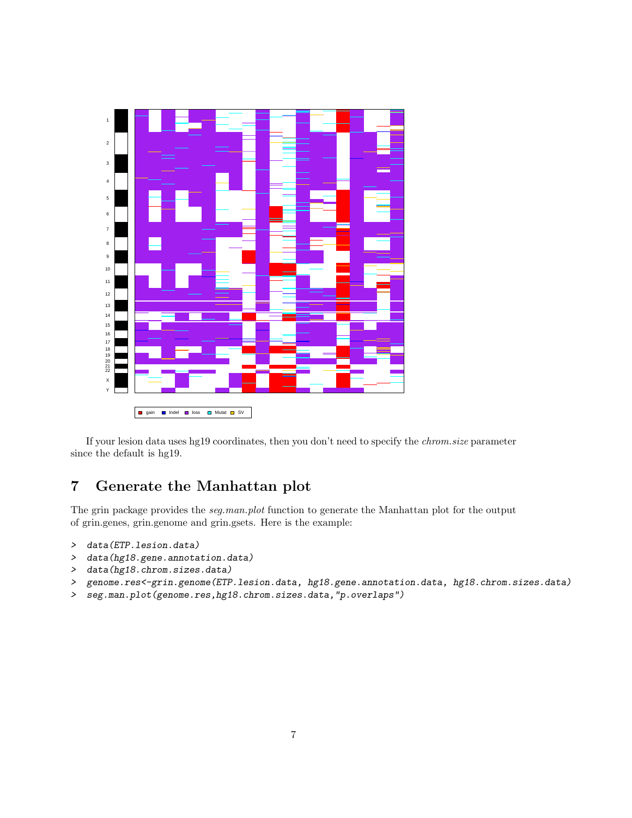

If your lesion data uses hg19 coordinates, then you don't need to specify the chrom.size parameter since the default is hg19.

# 7 Generate the Manhattan plot

The grin package provides the *seg.man.plot* function to generate the Manhattan plot for the output of grin.genes, grin.genome and grin.gsets. Here is the example:

- > data(ETP.lesion.data)
- > data(hg18.gene.annotation.data)
- > data(hg18.chrom.sizes.data)
- > genome.res<-grin.genome(ETP.lesion.data, hg18.gene.annotation.data, hg18.chrom.sizes.data)
- > seg.man.plot(genome.res,hg18.chrom.sizes.data,"p.overlaps")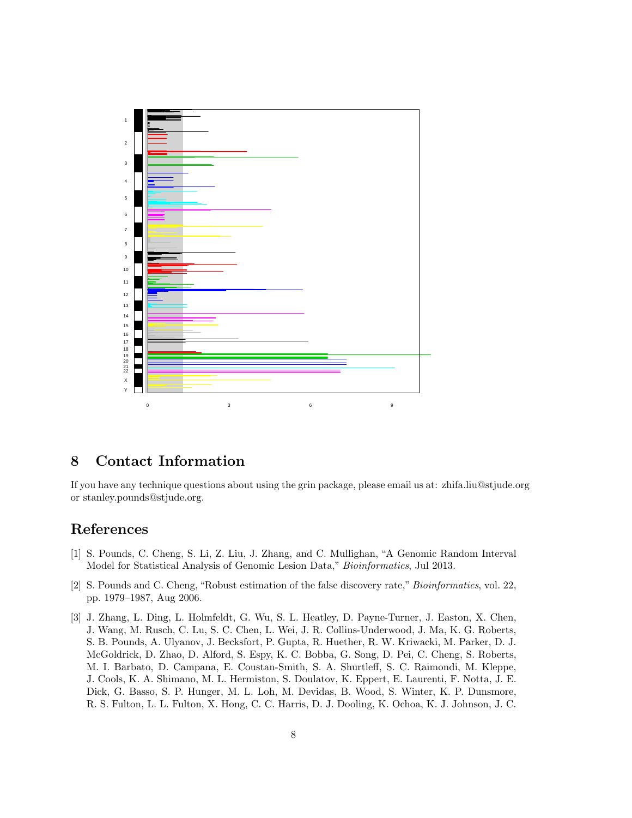

# 8 Contact Information

If you have any technique questions about using the grin package, please email us at: zhifa.liu@stjude.org or stanley.pounds@stjude.org.

# References

- [1] S. Pounds, C. Cheng, S. Li, Z. Liu, J. Zhang, and C. Mullighan, "A Genomic Random Interval Model for Statistical Analysis of Genomic Lesion Data," Bioinformatics, Jul 2013.
- [2] S. Pounds and C. Cheng, "Robust estimation of the false discovery rate," Bioinformatics, vol. 22, pp. 1979–1987, Aug 2006.
- [3] J. Zhang, L. Ding, L. Holmfeldt, G. Wu, S. L. Heatley, D. Payne-Turner, J. Easton, X. Chen, J. Wang, M. Rusch, C. Lu, S. C. Chen, L. Wei, J. R. Collins-Underwood, J. Ma, K. G. Roberts, S. B. Pounds, A. Ulyanov, J. Becksfort, P. Gupta, R. Huether, R. W. Kriwacki, M. Parker, D. J. McGoldrick, D. Zhao, D. Alford, S. Espy, K. C. Bobba, G. Song, D. Pei, C. Cheng, S. Roberts, M. I. Barbato, D. Campana, E. Coustan-Smith, S. A. Shurtleff, S. C. Raimondi, M. Kleppe, J. Cools, K. A. Shimano, M. L. Hermiston, S. Doulatov, K. Eppert, E. Laurenti, F. Notta, J. E. Dick, G. Basso, S. P. Hunger, M. L. Loh, M. Devidas, B. Wood, S. Winter, K. P. Dunsmore, R. S. Fulton, L. L. Fulton, X. Hong, C. C. Harris, D. J. Dooling, K. Ochoa, K. J. Johnson, J. C.